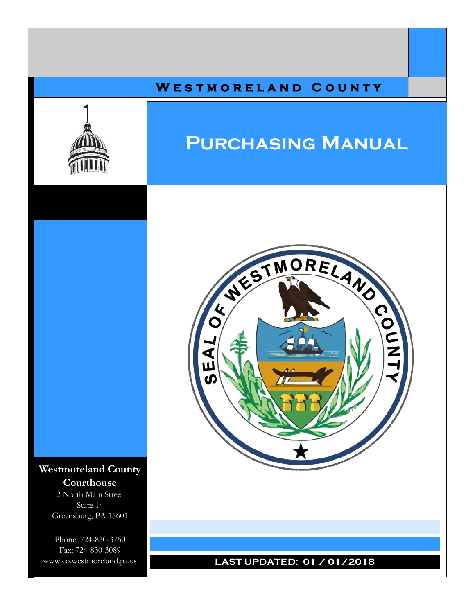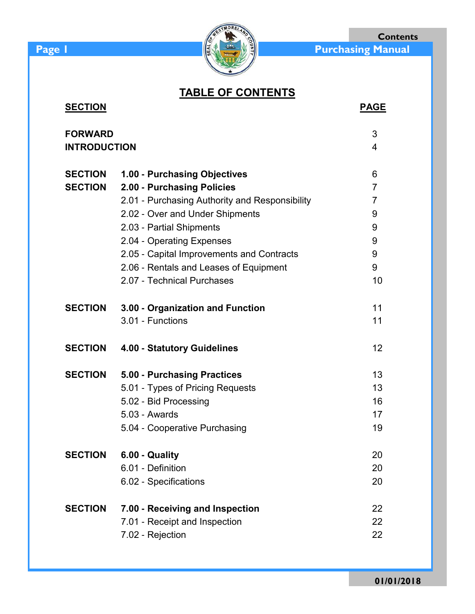

**Contents**

# **TABLE OF CONTENTS**

| <b>SECTION</b>      |                                                | <b>PAGE</b>    |
|---------------------|------------------------------------------------|----------------|
| <b>FORWARD</b>      |                                                | 3              |
| <b>INTRODUCTION</b> |                                                | $\overline{4}$ |
| <b>SECTION</b>      | 1.00 - Purchasing Objectives                   | 6              |
| <b>SECTION</b>      | 2.00 - Purchasing Policies                     | $\overline{7}$ |
|                     | 2.01 - Purchasing Authority and Responsibility | $\overline{7}$ |
|                     | 2.02 - Over and Under Shipments                | 9              |
|                     | 2.03 - Partial Shipments                       | 9              |
|                     | 2.04 - Operating Expenses                      | 9              |
|                     | 2.05 - Capital Improvements and Contracts      | 9              |
|                     | 2.06 - Rentals and Leases of Equipment         | 9              |
|                     | 2.07 - Technical Purchases                     | 10             |
| <b>SECTION</b>      | 3.00 - Organization and Function               | 11             |
|                     | 3.01 - Functions                               | 11             |
| <b>SECTION</b>      | 4.00 - Statutory Guidelines                    | 12             |
| <b>SECTION</b>      | 5.00 - Purchasing Practices                    | 13             |
|                     | 5.01 - Types of Pricing Requests               | 13             |
|                     | 5.02 - Bid Processing                          | 16             |
|                     | 5.03 - Awards                                  | 17             |
|                     | 5.04 - Cooperative Purchasing                  | 19             |
| <b>SECTION</b>      | 6.00 - Quality                                 | 20             |
|                     | 6.01 - Definition                              | 20             |
|                     | 6.02 - Specifications                          | 20             |
| <b>SECTION</b>      | 7.00 - Receiving and Inspection                | 22             |
|                     | 7.01 - Receipt and Inspection                  | 22             |
|                     | 7.02 - Rejection                               | 22             |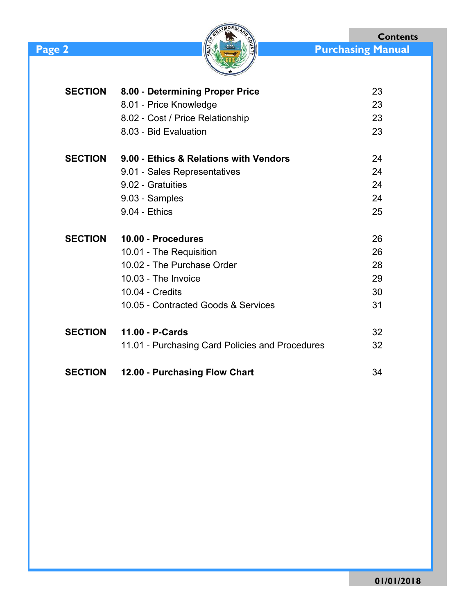



| <b>SECTION</b> | 8.00 - Determining Proper Price                 | 23 |
|----------------|-------------------------------------------------|----|
|                | 8.01 - Price Knowledge                          | 23 |
|                | 8.02 - Cost / Price Relationship                | 23 |
|                | 8.03 - Bid Evaluation                           | 23 |
| <b>SECTION</b> | 9.00 - Ethics & Relations with Vendors          | 24 |
|                | 9.01 - Sales Representatives                    | 24 |
|                | 9.02 - Gratuities                               | 24 |
|                | 9.03 - Samples                                  | 24 |
|                | 9.04 - Ethics                                   | 25 |
| <b>SECTION</b> | 10.00 - Procedures                              | 26 |
|                | 10.01 - The Requisition                         | 26 |
|                | 10.02 - The Purchase Order                      | 28 |
|                | 10.03 - The Invoice                             | 29 |
|                | 10.04 - Credits                                 | 30 |
|                | 10.05 - Contracted Goods & Services             | 31 |
| <b>SECTION</b> | 11.00 - P-Cards                                 | 32 |
|                | 11.01 - Purchasing Card Policies and Procedures | 32 |
| <b>SECTION</b> | 12.00 - Purchasing Flow Chart                   | 34 |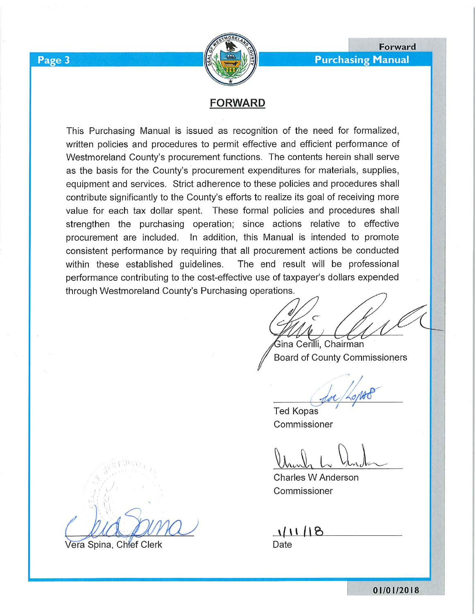

**Purchasing Manual** 

Forward

# **FORWARD**

This Purchasing Manual is issued as recognition of the need for formalized, written policies and procedures to permit effective and efficient performance of Westmoreland County's procurement functions. The contents herein shall serve as the basis for the County's procurement expenditures for materials, supplies, equipment and services. Strict adherence to these policies and procedures shall contribute significantly to the County's efforts to realize its goal of receiving more value for each tax dollar spent. These formal policies and procedures shall strengthen the purchasing operation; since actions relative to effective procurement are included. In addition, this Manual is intended to promote consistent performance by requiring that all procurement actions be conducted The end result will be professional within these established guidelines. performance contributing to the cost-effective use of taxpayer's dollars expended through Westmoreland County's Purchasing operations.

.<br>Sina Cerilli, Chairman Board of County Commissioners

**Ted Kopas** Commissioner

Charles W Anderson Commissioner

111/18 Date

Vera Spina, Chief Clerk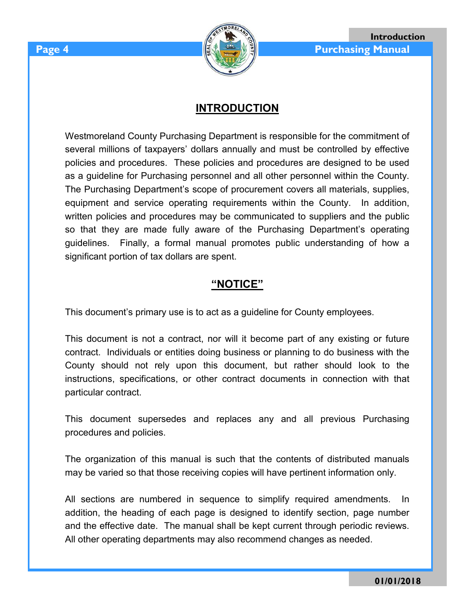# **INTRODUCTION**

Westmoreland County Purchasing Department is responsible for the commitment of several millions of taxpayers' dollars annually and must be controlled by effective policies and procedures. These policies and procedures are designed to be used as a guideline for Purchasing personnel and all other personnel within the County. The Purchasing Department's scope of procurement covers all materials, supplies, equipment and service operating requirements within the County. In addition, written policies and procedures may be communicated to suppliers and the public so that they are made fully aware of the Purchasing Department's operating guidelines. Finally, a formal manual promotes public understanding of how a significant portion of tax dollars are spent.

# **"NOTICE"**

This document's primary use is to act as a guideline for County employees.

This document is not a contract, nor will it become part of any existing or future contract. Individuals or entities doing business or planning to do business with the County should not rely upon this document, but rather should look to the instructions, specifications, or other contract documents in connection with that particular contract.

This document supersedes and replaces any and all previous Purchasing procedures and policies.

The organization of this manual is such that the contents of distributed manuals may be varied so that those receiving copies will have pertinent information only.

All sections are numbered in sequence to simplify required amendments. In addition, the heading of each page is designed to identify section, page number and the effective date. The manual shall be kept current through periodic reviews. All other operating departments may also recommend changes as needed.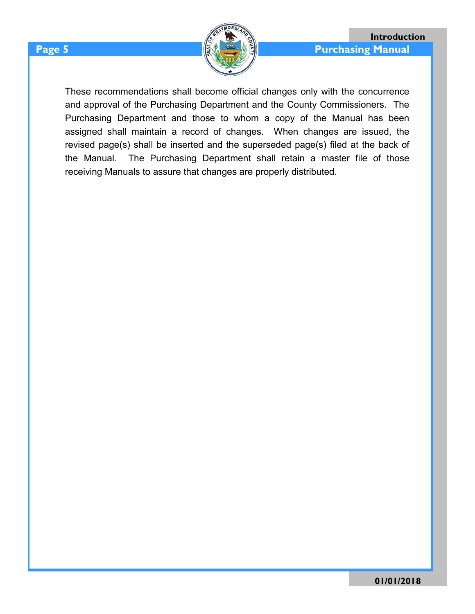

These recommendations shall become official changes only with the concurrence and approval of the Purchasing Department and the County Commissioners. The Purchasing Department and those to whom a copy of the Manual has been assigned shall maintain a record of changes. When changes are issued, the revised page(s) shall be inserted and the superseded page(s) filed at the back of the Manual. The Purchasing Department shall retain a master file of those receiving Manuals to assure that changes are properly distributed.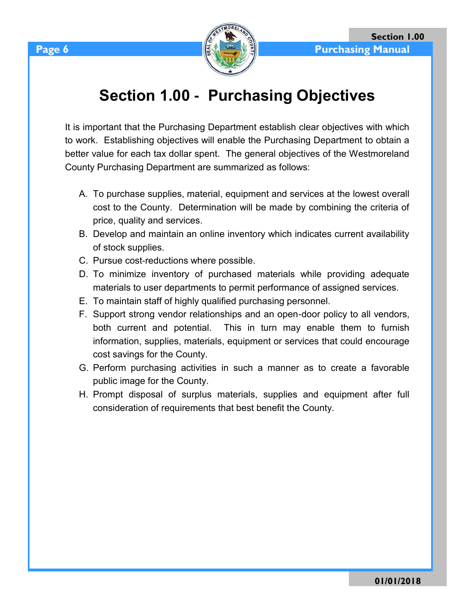

# **Section 1.00 - Purchasing Objectives**

It is important that the Purchasing Department establish clear objectives with which to work. Establishing objectives will enable the Purchasing Department to obtain a better value for each tax dollar spent. The general objectives of the Westmoreland County Purchasing Department are summarized as follows:

- A. To purchase supplies, material, equipment and services at the lowest overall cost to the County. Determination will be made by combining the criteria of price, quality and services.
- B. Develop and maintain an online inventory which indicates current availability of stock supplies.
- C. Pursue cost-reductions where possible.
- D. To minimize inventory of purchased materials while providing adequate materials to user departments to permit performance of assigned services.
- E. To maintain staff of highly qualified purchasing personnel.
- F. Support strong vendor relationships and an open-door policy to all vendors, both current and potential. This in turn may enable them to furnish information, supplies, materials, equipment or services that could encourage cost savings for the County.
- G. Perform purchasing activities in such a manner as to create a favorable public image for the County.
- H. Prompt disposal of surplus materials, supplies and equipment after full consideration of requirements that best benefit the County.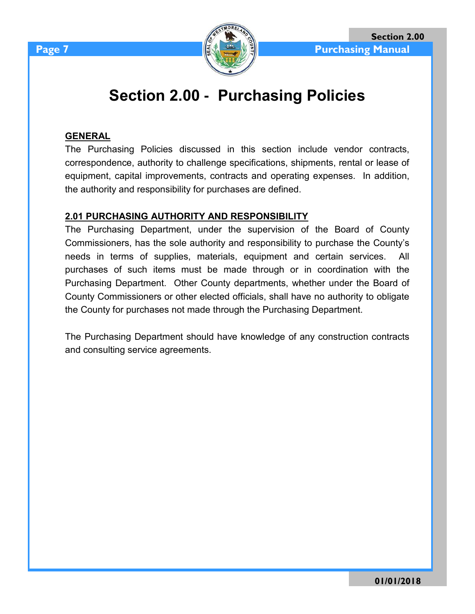

# **Section 2.00 - Purchasing Policies**

#### **GENERAL**

The Purchasing Policies discussed in this section include vendor contracts, correspondence, authority to challenge specifications, shipments, rental or lease of equipment, capital improvements, contracts and operating expenses. In addition, the authority and responsibility for purchases are defined.

#### **2.01 PURCHASING AUTHORITY AND RESPONSIBILITY**

The Purchasing Department, under the supervision of the Board of County Commissioners, has the sole authority and responsibility to purchase the County's needs in terms of supplies, materials, equipment and certain services. All purchases of such items must be made through or in coordination with the Purchasing Department. Other County departments, whether under the Board of County Commissioners or other elected officials, shall have no authority to obligate the County for purchases not made through the Purchasing Department.

The Purchasing Department should have knowledge of any construction contracts and consulting service agreements.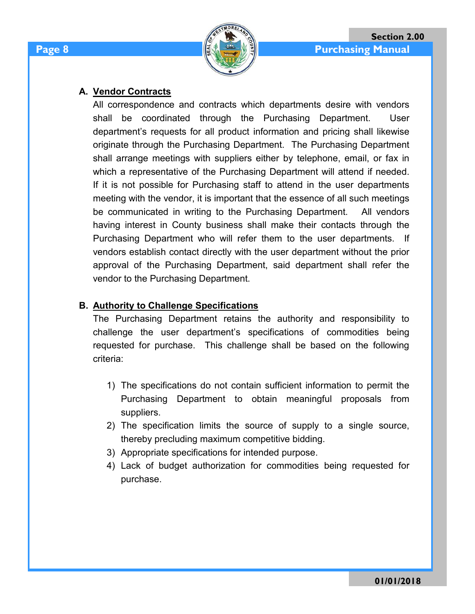

### **A. Vendor Contracts**

All correspondence and contracts which departments desire with vendors shall be coordinated through the Purchasing Department. User department's requests for all product information and pricing shall likewise originate through the Purchasing Department. The Purchasing Department shall arrange meetings with suppliers either by telephone, email, or fax in which a representative of the Purchasing Department will attend if needed. If it is not possible for Purchasing staff to attend in the user departments meeting with the vendor, it is important that the essence of all such meetings be communicated in writing to the Purchasing Department. All vendors having interest in County business shall make their contacts through the Purchasing Department who will refer them to the user departments. If vendors establish contact directly with the user department without the prior approval of the Purchasing Department, said department shall refer the vendor to the Purchasing Department.

# **B. Authority to Challenge Specifications**

The Purchasing Department retains the authority and responsibility to challenge the user department's specifications of commodities being requested for purchase. This challenge shall be based on the following criteria:

- 1) The specifications do not contain sufficient information to permit the Purchasing Department to obtain meaningful proposals from suppliers.
- 2) The specification limits the source of supply to a single source, thereby precluding maximum competitive bidding.
- 3) Appropriate specifications for intended purpose.
- 4) Lack of budget authorization for commodities being requested for purchase.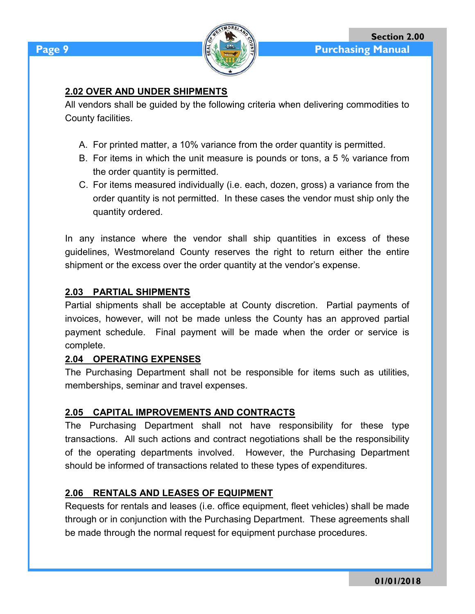

# **2.02 OVER AND UNDER SHIPMENTS**

All vendors shall be guided by the following criteria when delivering commodities to County facilities.

- A. For printed matter, a 10% variance from the order quantity is permitted.
- B. For items in which the unit measure is pounds or tons, a 5 % variance from the order quantity is permitted.
- C. For items measured individually (i.e. each, dozen, gross) a variance from the order quantity is not permitted. In these cases the vendor must ship only the quantity ordered.

In any instance where the vendor shall ship quantities in excess of these guidelines, Westmoreland County reserves the right to return either the entire shipment or the excess over the order quantity at the vendor's expense.

### **2.03 PARTIAL SHIPMENTS**

Partial shipments shall be acceptable at County discretion. Partial payments of invoices, however, will not be made unless the County has an approved partial payment schedule. Final payment will be made when the order or service is complete.

#### **2.04 OPERATING EXPENSES**

The Purchasing Department shall not be responsible for items such as utilities, memberships, seminar and travel expenses.

# **2.05 CAPITAL IMPROVEMENTS AND CONTRACTS**

The Purchasing Department shall not have responsibility for these type transactions. All such actions and contract negotiations shall be the responsibility of the operating departments involved. However, the Purchasing Department should be informed of transactions related to these types of expenditures.

# **2.06 RENTALS AND LEASES OF EQUIPMENT**

Requests for rentals and leases (i.e. office equipment, fleet vehicles) shall be made through or in conjunction with the Purchasing Department. These agreements shall be made through the normal request for equipment purchase procedures.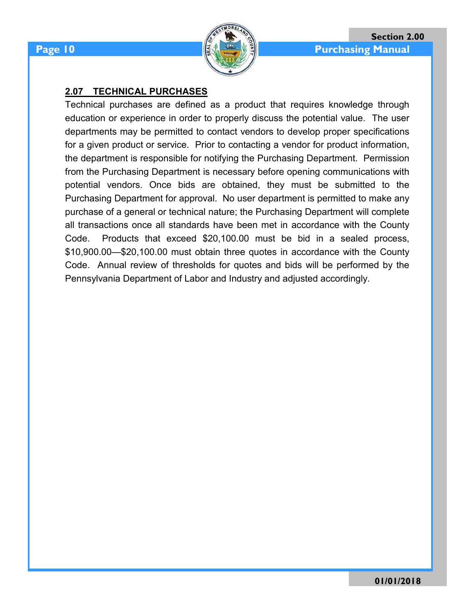

### **2.07 TECHNICAL PURCHASES**

Technical purchases are defined as a product that requires knowledge through education or experience in order to properly discuss the potential value. The user departments may be permitted to contact vendors to develop proper specifications for a given product or service. Prior to contacting a vendor for product information, the department is responsible for notifying the Purchasing Department. Permission from the Purchasing Department is necessary before opening communications with potential vendors. Once bids are obtained, they must be submitted to the Purchasing Department for approval. No user department is permitted to make any purchase of a general or technical nature; the Purchasing Department will complete all transactions once all standards have been met in accordance with the County Code. Products that exceed \$20,100.00 must be bid in a sealed process, \$10,900.00—\$20,100.00 must obtain three quotes in accordance with the County Code. Annual review of thresholds for quotes and bids will be performed by the Pennsylvania Department of Labor and Industry and adjusted accordingly.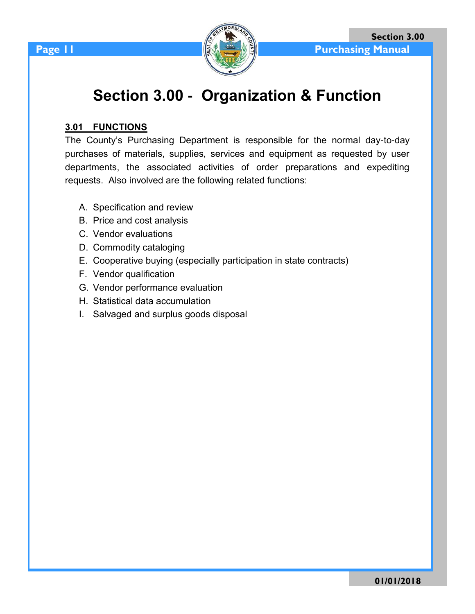



# **Section 3.00 - Organization & Function**

### **3.01 FUNCTIONS**

The County's Purchasing Department is responsible for the normal day-to-day purchases of materials, supplies, services and equipment as requested by user departments, the associated activities of order preparations and expediting requests. Also involved are the following related functions:

- A. Specification and review
- B. Price and cost analysis
- C. Vendor evaluations
- D. Commodity cataloging
- E. Cooperative buying (especially participation in state contracts)
- F. Vendor qualification
- G. Vendor performance evaluation
- H. Statistical data accumulation
- I. Salvaged and surplus goods disposal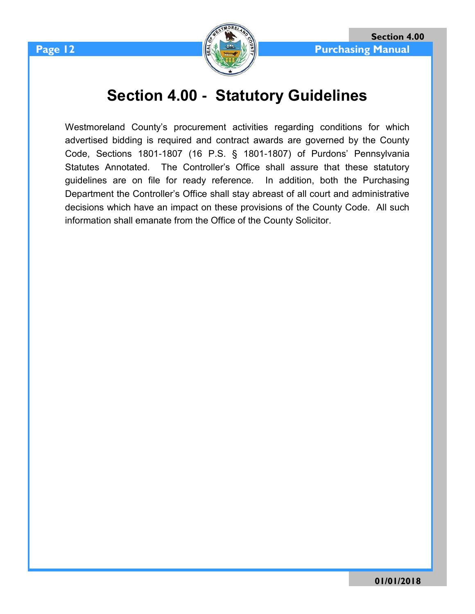

# **Section 4.00 - Statutory Guidelines**

Westmoreland County's procurement activities regarding conditions for which advertised bidding is required and contract awards are governed by the County Code, Sections 1801-1807 (16 P.S. § 1801-1807) of Purdons' Pennsylvania Statutes Annotated. The Controller's Office shall assure that these statutory guidelines are on file for ready reference. In addition, both the Purchasing Department the Controller's Office shall stay abreast of all court and administrative decisions which have an impact on these provisions of the County Code. All such information shall emanate from the Office of the County Solicitor.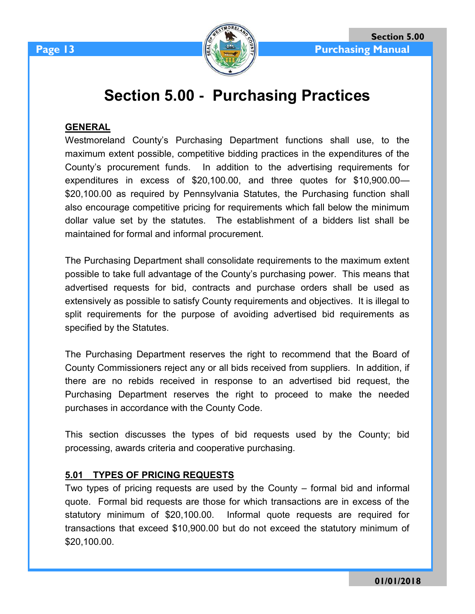

# **Section 5.00 - Purchasing Practices**

### **GENERAL**

Westmoreland County's Purchasing Department functions shall use, to the maximum extent possible, competitive bidding practices in the expenditures of the County's procurement funds. In addition to the advertising requirements for expenditures in excess of \$20,100.00, and three quotes for \$10,900.00— \$20,100.00 as required by Pennsylvania Statutes, the Purchasing function shall also encourage competitive pricing for requirements which fall below the minimum dollar value set by the statutes. The establishment of a bidders list shall be maintained for formal and informal procurement.

The Purchasing Department shall consolidate requirements to the maximum extent possible to take full advantage of the County's purchasing power. This means that advertised requests for bid, contracts and purchase orders shall be used as extensively as possible to satisfy County requirements and objectives. It is illegal to split requirements for the purpose of avoiding advertised bid requirements as specified by the Statutes.

The Purchasing Department reserves the right to recommend that the Board of County Commissioners reject any or all bids received from suppliers. In addition, if there are no rebids received in response to an advertised bid request, the Purchasing Department reserves the right to proceed to make the needed purchases in accordance with the County Code.

This section discusses the types of bid requests used by the County; bid processing, awards criteria and cooperative purchasing.

# **5.01 TYPES OF PRICING REQUESTS**

Two types of pricing requests are used by the County – formal bid and informal quote. Formal bid requests are those for which transactions are in excess of the statutory minimum of \$20,100.00. Informal quote requests are required for transactions that exceed \$10,900.00 but do not exceed the statutory minimum of \$20,100.00.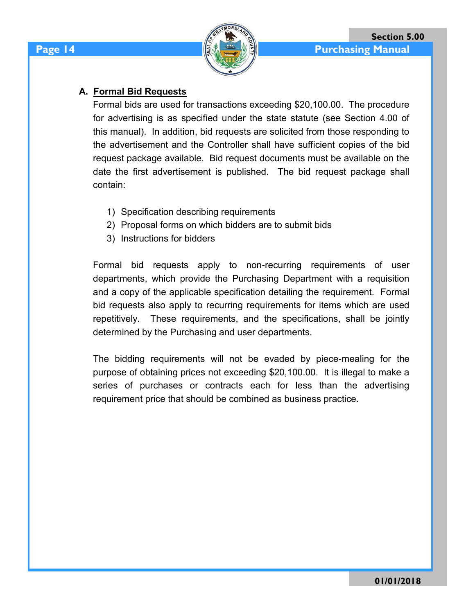# **A. Formal Bid Requests**

Formal bids are used for transactions exceeding \$20,100.00. The procedure for advertising is as specified under the state statute (see Section 4.00 of this manual). In addition, bid requests are solicited from those responding to the advertisement and the Controller shall have sufficient copies of the bid request package available. Bid request documents must be available on the date the first advertisement is published. The bid request package shall contain:

- 1) Specification describing requirements
- 2) Proposal forms on which bidders are to submit bids
- 3) Instructions for bidders

Formal bid requests apply to non-recurring requirements of user departments, which provide the Purchasing Department with a requisition and a copy of the applicable specification detailing the requirement. Formal bid requests also apply to recurring requirements for items which are used repetitively. These requirements, and the specifications, shall be jointly determined by the Purchasing and user departments.

The bidding requirements will not be evaded by piece-mealing for the purpose of obtaining prices not exceeding \$20,100.00. It is illegal to make a series of purchases or contracts each for less than the advertising requirement price that should be combined as business practice.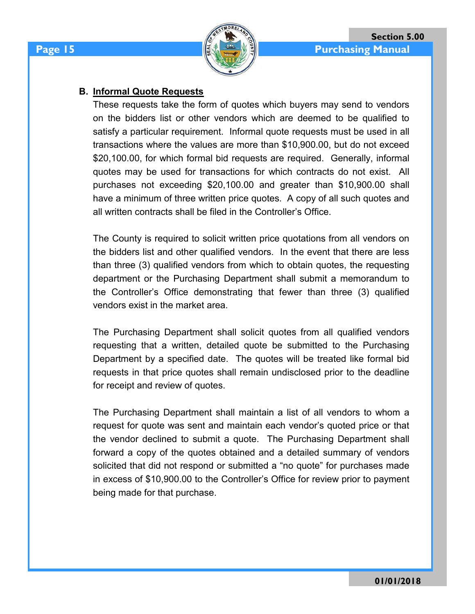# **B. Informal Quote Requests**

These requests take the form of quotes which buyers may send to vendors on the bidders list or other vendors which are deemed to be qualified to satisfy a particular requirement. Informal quote requests must be used in all transactions where the values are more than \$10,900.00, but do not exceed \$20,100.00, for which formal bid requests are required. Generally, informal quotes may be used for transactions for which contracts do not exist. All purchases not exceeding \$20,100.00 and greater than \$10,900.00 shall have a minimum of three written price quotes. A copy of all such quotes and all written contracts shall be filed in the Controller's Office.

The County is required to solicit written price quotations from all vendors on the bidders list and other qualified vendors. In the event that there are less than three (3) qualified vendors from which to obtain quotes, the requesting department or the Purchasing Department shall submit a memorandum to the Controller's Office demonstrating that fewer than three (3) qualified vendors exist in the market area.

The Purchasing Department shall solicit quotes from all qualified vendors requesting that a written, detailed quote be submitted to the Purchasing Department by a specified date. The quotes will be treated like formal bid requests in that price quotes shall remain undisclosed prior to the deadline for receipt and review of quotes.

The Purchasing Department shall maintain a list of all vendors to whom a request for quote was sent and maintain each vendor's quoted price or that the vendor declined to submit a quote. The Purchasing Department shall forward a copy of the quotes obtained and a detailed summary of vendors solicited that did not respond or submitted a "no quote" for purchases made in excess of \$10,900.00 to the Controller's Office for review prior to payment being made for that purchase.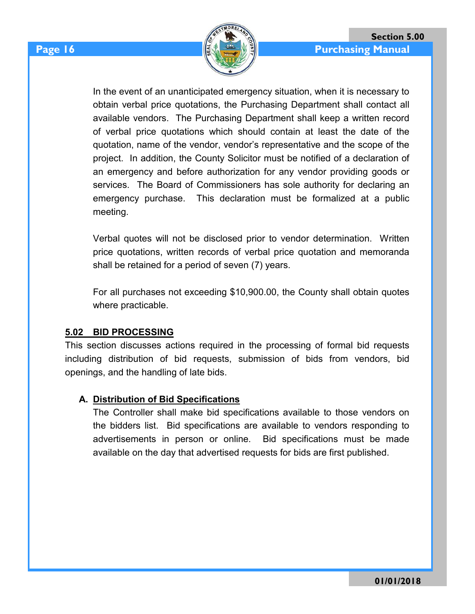

In the event of an unanticipated emergency situation, when it is necessary to obtain verbal price quotations, the Purchasing Department shall contact all available vendors. The Purchasing Department shall keep a written record of verbal price quotations which should contain at least the date of the quotation, name of the vendor, vendor's representative and the scope of the project. In addition, the County Solicitor must be notified of a declaration of an emergency and before authorization for any vendor providing goods or services. The Board of Commissioners has sole authority for declaring an emergency purchase. This declaration must be formalized at a public meeting.

Verbal quotes will not be disclosed prior to vendor determination. Written price quotations, written records of verbal price quotation and memoranda shall be retained for a period of seven (7) years.

For all purchases not exceeding \$10,900.00, the County shall obtain quotes where practicable.

#### **5.02 BID PROCESSING**

This section discusses actions required in the processing of formal bid requests including distribution of bid requests, submission of bids from vendors, bid openings, and the handling of late bids.

#### **A. Distribution of Bid Specifications**

The Controller shall make bid specifications available to those vendors on the bidders list. Bid specifications are available to vendors responding to advertisements in person or online. Bid specifications must be made available on the day that advertised requests for bids are first published.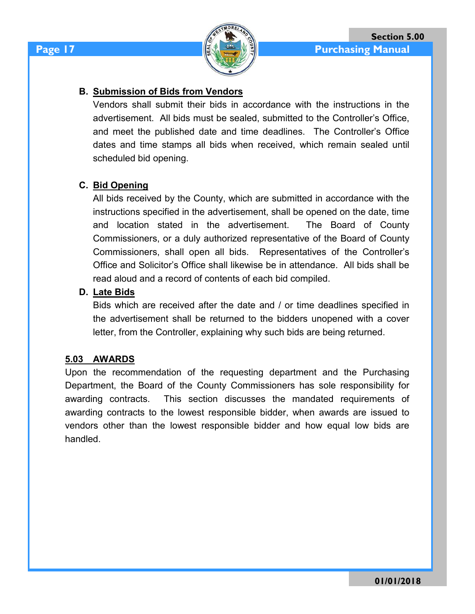

# **B. Submission of Bids from Vendors**

Vendors shall submit their bids in accordance with the instructions in the advertisement. All bids must be sealed, submitted to the Controller's Office, and meet the published date and time deadlines. The Controller's Office dates and time stamps all bids when received, which remain sealed until scheduled bid opening.

# **C. Bid Opening**

All bids received by the County, which are submitted in accordance with the instructions specified in the advertisement, shall be opened on the date, time and location stated in the advertisement. The Board of County Commissioners, or a duly authorized representative of the Board of County Commissioners, shall open all bids. Representatives of the Controller's Office and Solicitor's Office shall likewise be in attendance. All bids shall be read aloud and a record of contents of each bid compiled.

# **D. Late Bids**

Bids which are received after the date and / or time deadlines specified in the advertisement shall be returned to the bidders unopened with a cover letter, from the Controller, explaining why such bids are being returned.

# **5.03 AWARDS**

Upon the recommendation of the requesting department and the Purchasing Department, the Board of the County Commissioners has sole responsibility for awarding contracts. This section discusses the mandated requirements of awarding contracts to the lowest responsible bidder, when awards are issued to vendors other than the lowest responsible bidder and how equal low bids are handled.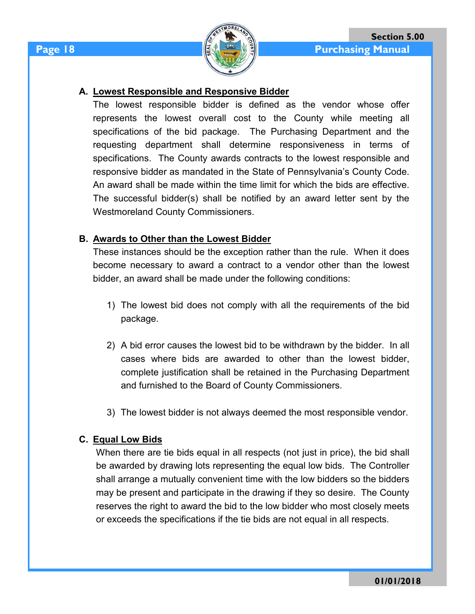

### **A. Lowest Responsible and Responsive Bidder**

The lowest responsible bidder is defined as the vendor whose offer represents the lowest overall cost to the County while meeting all specifications of the bid package. The Purchasing Department and the requesting department shall determine responsiveness in terms of specifications. The County awards contracts to the lowest responsible and responsive bidder as mandated in the State of Pennsylvania's County Code. An award shall be made within the time limit for which the bids are effective. The successful bidder(s) shall be notified by an award letter sent by the Westmoreland County Commissioners.

### **B. Awards to Other than the Lowest Bidder**

These instances should be the exception rather than the rule. When it does become necessary to award a contract to a vendor other than the lowest bidder, an award shall be made under the following conditions:

- 1) The lowest bid does not comply with all the requirements of the bid package.
- 2) A bid error causes the lowest bid to be withdrawn by the bidder. In all cases where bids are awarded to other than the lowest bidder, complete justification shall be retained in the Purchasing Department and furnished to the Board of County Commissioners.
- 3) The lowest bidder is not always deemed the most responsible vendor.

#### **C. Equal Low Bids**

When there are tie bids equal in all respects (not just in price), the bid shall be awarded by drawing lots representing the equal low bids. The Controller shall arrange a mutually convenient time with the low bidders so the bidders may be present and participate in the drawing if they so desire. The County reserves the right to award the bid to the low bidder who most closely meets or exceeds the specifications if the tie bids are not equal in all respects.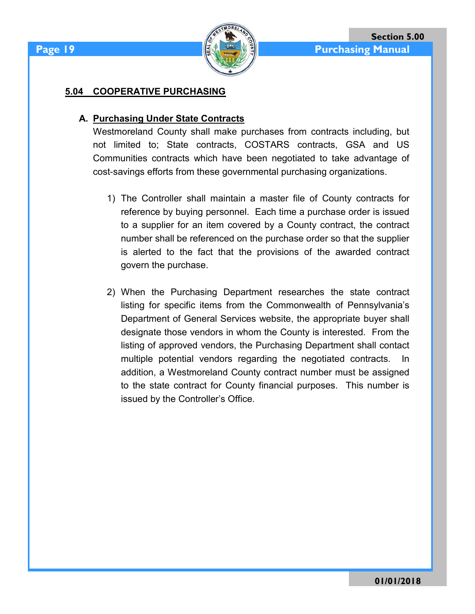

#### **5.04 COOPERATIVE PURCHASING**

### **A. Purchasing Under State Contracts**

Westmoreland County shall make purchases from contracts including, but not limited to; State contracts, COSTARS contracts, GSA and US Communities contracts which have been negotiated to take advantage of cost-savings efforts from these governmental purchasing organizations.

- 1) The Controller shall maintain a master file of County contracts for reference by buying personnel. Each time a purchase order is issued to a supplier for an item covered by a County contract, the contract number shall be referenced on the purchase order so that the supplier is alerted to the fact that the provisions of the awarded contract govern the purchase.
- 2) When the Purchasing Department researches the state contract listing for specific items from the Commonwealth of Pennsylvania's Department of General Services website, the appropriate buyer shall designate those vendors in whom the County is interested. From the listing of approved vendors, the Purchasing Department shall contact multiple potential vendors regarding the negotiated contracts. In addition, a Westmoreland County contract number must be assigned to the state contract for County financial purposes. This number is issued by the Controller's Office.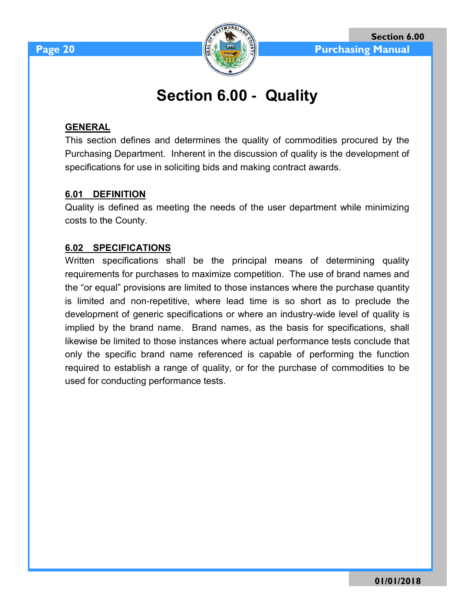

# **Section 6.00 - Quality**

### **GENERAL**

This section defines and determines the quality of commodities procured by the Purchasing Department. Inherent in the discussion of quality is the development of specifications for use in soliciting bids and making contract awards.

### **6.01 DEFINITION**

Quality is defined as meeting the needs of the user department while minimizing costs to the County.

### **6.02 SPECIFICATIONS**

Written specifications shall be the principal means of determining quality requirements for purchases to maximize competition. The use of brand names and the "or equal" provisions are limited to those instances where the purchase quantity is limited and non-repetitive, where lead time is so short as to preclude the development of generic specifications or where an industry-wide level of quality is implied by the brand name. Brand names, as the basis for specifications, shall likewise be limited to those instances where actual performance tests conclude that only the specific brand name referenced is capable of performing the function required to establish a range of quality, or for the purchase of commodities to be used for conducting performance tests.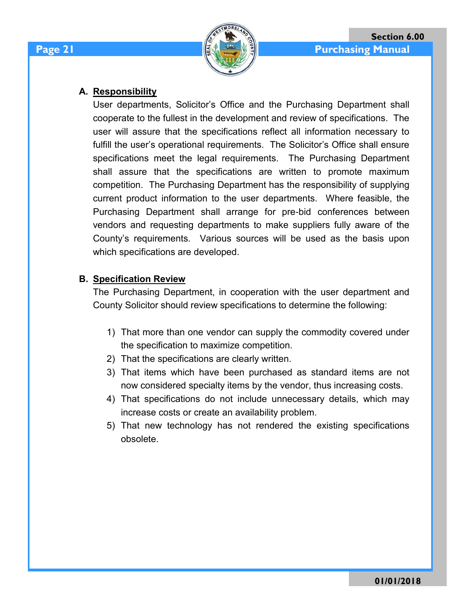### **A. Responsibility**

User departments, Solicitor's Office and the Purchasing Department shall cooperate to the fullest in the development and review of specifications. The user will assure that the specifications reflect all information necessary to fulfill the user's operational requirements. The Solicitor's Office shall ensure specifications meet the legal requirements. The Purchasing Department shall assure that the specifications are written to promote maximum competition. The Purchasing Department has the responsibility of supplying current product information to the user departments. Where feasible, the Purchasing Department shall arrange for pre-bid conferences between vendors and requesting departments to make suppliers fully aware of the County's requirements. Various sources will be used as the basis upon which specifications are developed.

# **B. Specification Review**

The Purchasing Department, in cooperation with the user department and County Solicitor should review specifications to determine the following:

- 1) That more than one vendor can supply the commodity covered under the specification to maximize competition.
- 2) That the specifications are clearly written.
- 3) That items which have been purchased as standard items are not now considered specialty items by the vendor, thus increasing costs.
- 4) That specifications do not include unnecessary details, which may increase costs or create an availability problem.
- 5) That new technology has not rendered the existing specifications obsolete.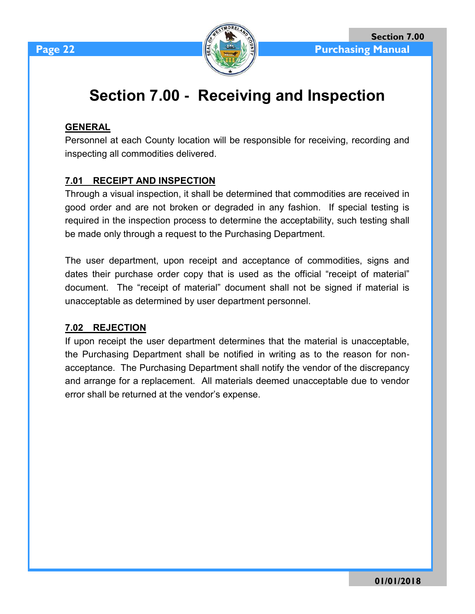

# **Section 7.00 - Receiving and Inspection**

# **GENERAL**

Personnel at each County location will be responsible for receiving, recording and inspecting all commodities delivered.

# **7.01 RECEIPT AND INSPECTION**

Through a visual inspection, it shall be determined that commodities are received in good order and are not broken or degraded in any fashion. If special testing is required in the inspection process to determine the acceptability, such testing shall be made only through a request to the Purchasing Department.

The user department, upon receipt and acceptance of commodities, signs and dates their purchase order copy that is used as the official "receipt of material" document. The "receipt of material" document shall not be signed if material is unacceptable as determined by user department personnel.

# **7.02 REJECTION**

If upon receipt the user department determines that the material is unacceptable, the Purchasing Department shall be notified in writing as to the reason for nonacceptance. The Purchasing Department shall notify the vendor of the discrepancy and arrange for a replacement. All materials deemed unacceptable due to vendor error shall be returned at the vendor's expense.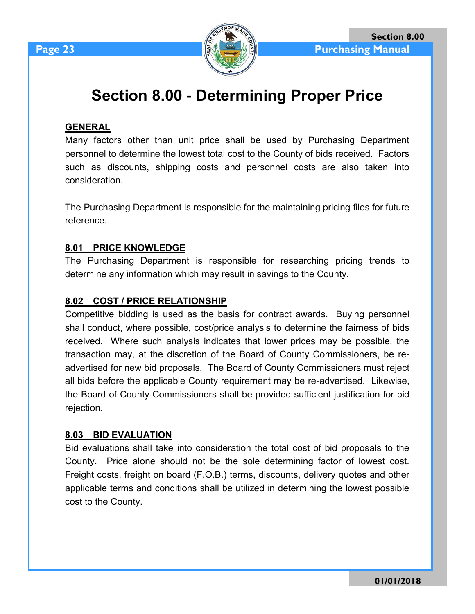

# **Section 8.00 - Determining Proper Price**

# **GENERAL**

Many factors other than unit price shall be used by Purchasing Department personnel to determine the lowest total cost to the County of bids received. Factors such as discounts, shipping costs and personnel costs are also taken into consideration.

The Purchasing Department is responsible for the maintaining pricing files for future reference.

### **8.01 PRICE KNOWLEDGE**

The Purchasing Department is responsible for researching pricing trends to determine any information which may result in savings to the County.

#### **8.02 COST / PRICE RELATIONSHIP**

Competitive bidding is used as the basis for contract awards. Buying personnel shall conduct, where possible, cost/price analysis to determine the fairness of bids received. Where such analysis indicates that lower prices may be possible, the transaction may, at the discretion of the Board of County Commissioners, be readvertised for new bid proposals. The Board of County Commissioners must reject all bids before the applicable County requirement may be re-advertised. Likewise, the Board of County Commissioners shall be provided sufficient justification for bid rejection.

#### **8.03 BID EVALUATION**

Bid evaluations shall take into consideration the total cost of bid proposals to the County. Price alone should not be the sole determining factor of lowest cost. Freight costs, freight on board (F.O.B.) terms, discounts, delivery quotes and other applicable terms and conditions shall be utilized in determining the lowest possible cost to the County.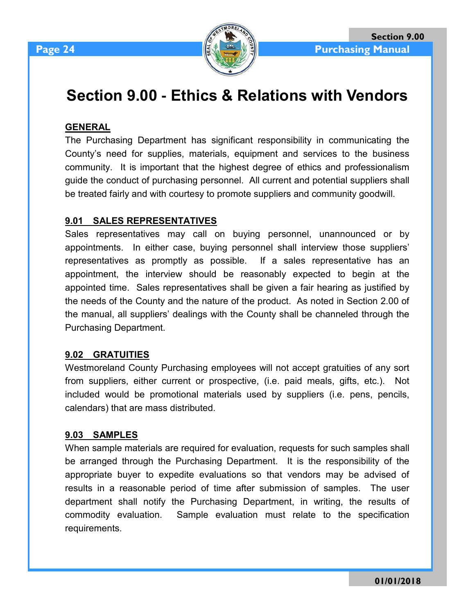

# **Section 9.00 - Ethics & Relations with Vendors**

### **GENERAL**

The Purchasing Department has significant responsibility in communicating the County's need for supplies, materials, equipment and services to the business community. It is important that the highest degree of ethics and professionalism guide the conduct of purchasing personnel. All current and potential suppliers shall be treated fairly and with courtesy to promote suppliers and community goodwill.

### **9.01 SALES REPRESENTATIVES**

Sales representatives may call on buying personnel, unannounced or by appointments. In either case, buying personnel shall interview those suppliers' representatives as promptly as possible. If a sales representative has an appointment, the interview should be reasonably expected to begin at the appointed time. Sales representatives shall be given a fair hearing as justified by the needs of the County and the nature of the product. As noted in Section 2.00 of the manual, all suppliers' dealings with the County shall be channeled through the Purchasing Department.

#### **9.02 GRATUITIES**

Westmoreland County Purchasing employees will not accept gratuities of any sort from suppliers, either current or prospective, (i.e. paid meals, gifts, etc.). Not included would be promotional materials used by suppliers (i.e. pens, pencils, calendars) that are mass distributed.

#### **9.03 SAMPLES**

When sample materials are required for evaluation, requests for such samples shall be arranged through the Purchasing Department. It is the responsibility of the appropriate buyer to expedite evaluations so that vendors may be advised of results in a reasonable period of time after submission of samples. The user department shall notify the Purchasing Department, in writing, the results of commodity evaluation. Sample evaluation must relate to the specification requirements.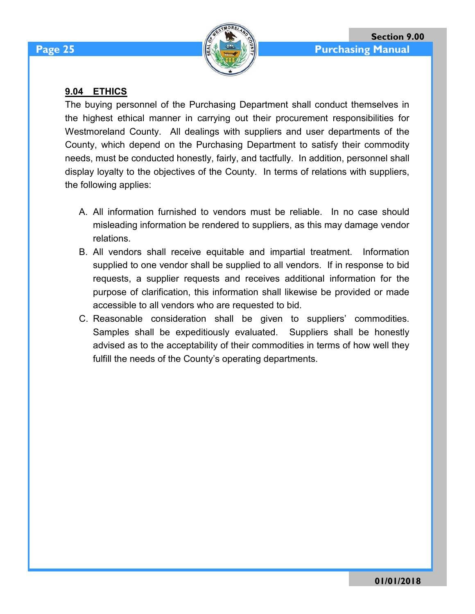# **9.04 ETHICS**

The buying personnel of the Purchasing Department shall conduct themselves in the highest ethical manner in carrying out their procurement responsibilities for Westmoreland County. All dealings with suppliers and user departments of the County, which depend on the Purchasing Department to satisfy their commodity needs, must be conducted honestly, fairly, and tactfully. In addition, personnel shall display loyalty to the objectives of the County. In terms of relations with suppliers, the following applies:

- A. All information furnished to vendors must be reliable. In no case should misleading information be rendered to suppliers, as this may damage vendor relations.
- B. All vendors shall receive equitable and impartial treatment. Information supplied to one vendor shall be supplied to all vendors. If in response to bid requests, a supplier requests and receives additional information for the purpose of clarification, this information shall likewise be provided or made accessible to all vendors who are requested to bid.
- C. Reasonable consideration shall be given to suppliers' commodities. Samples shall be expeditiously evaluated. Suppliers shall be honestly advised as to the acceptability of their commodities in terms of how well they fulfill the needs of the County's operating departments.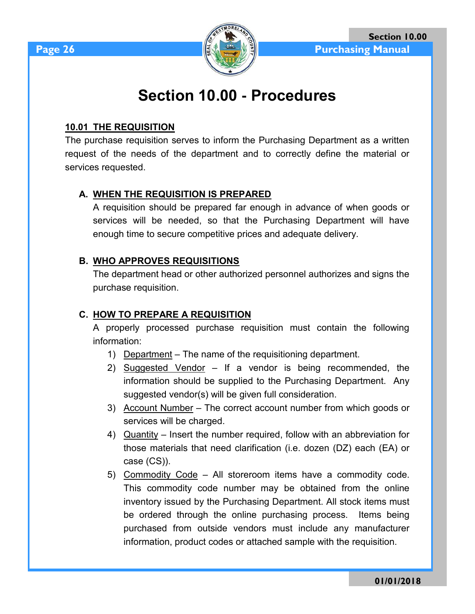

# **Section 10.00 - Procedures**

### **10.01 THE REQUISITION**

The purchase requisition serves to inform the Purchasing Department as a written request of the needs of the department and to correctly define the material or services requested.

# **A. WHEN THE REQUISITION IS PREPARED**

A requisition should be prepared far enough in advance of when goods or services will be needed, so that the Purchasing Department will have enough time to secure competitive prices and adequate delivery.

# **B. WHO APPROVES REQUISITIONS**

The department head or other authorized personnel authorizes and signs the purchase requisition.

# **C. HOW TO PREPARE A REQUISITION**

A properly processed purchase requisition must contain the following information:

- 1) Department The name of the requisitioning department.
- 2) Suggested Vendor If a vendor is being recommended, the information should be supplied to the Purchasing Department. Any suggested vendor(s) will be given full consideration.
- 3) Account Number The correct account number from which goods or services will be charged.
- 4) Quantity Insert the number required, follow with an abbreviation for those materials that need clarification (i.e. dozen (DZ) each (EA) or case (CS)).
- 5) Commodity Code All storeroom items have a commodity code. This commodity code number may be obtained from the online inventory issued by the Purchasing Department. All stock items must be ordered through the online purchasing process. Items being purchased from outside vendors must include any manufacturer information, product codes or attached sample with the requisition.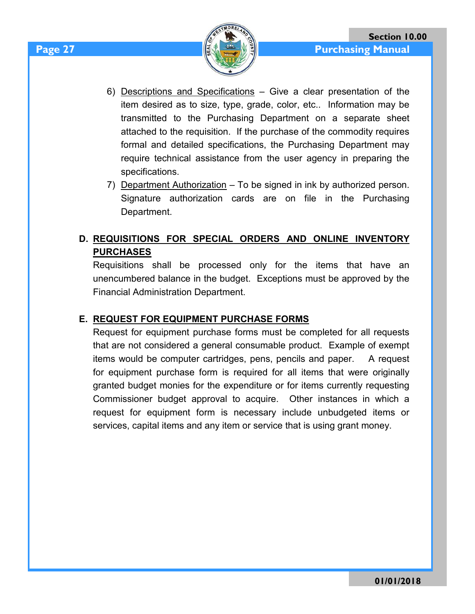- 6) Descriptions and Specifications Give a clear presentation of the item desired as to size, type, grade, color, etc.. Information may be transmitted to the Purchasing Department on a separate sheet attached to the requisition. If the purchase of the commodity requires formal and detailed specifications, the Purchasing Department may require technical assistance from the user agency in preparing the specifications.
- 7) Department Authorization To be signed in ink by authorized person. Signature authorization cards are on file in the Purchasing Department.

# **D. REQUISITIONS FOR SPECIAL ORDERS AND ONLINE INVENTORY PURCHASES**

Requisitions shall be processed only for the items that have an unencumbered balance in the budget. Exceptions must be approved by the Financial Administration Department.

# **E. REQUEST FOR EQUIPMENT PURCHASE FORMS**

Request for equipment purchase forms must be completed for all requests that are not considered a general consumable product. Example of exempt items would be computer cartridges, pens, pencils and paper. A request for equipment purchase form is required for all items that were originally granted budget monies for the expenditure or for items currently requesting Commissioner budget approval to acquire. Other instances in which a request for equipment form is necessary include unbudgeted items or services, capital items and any item or service that is using grant money.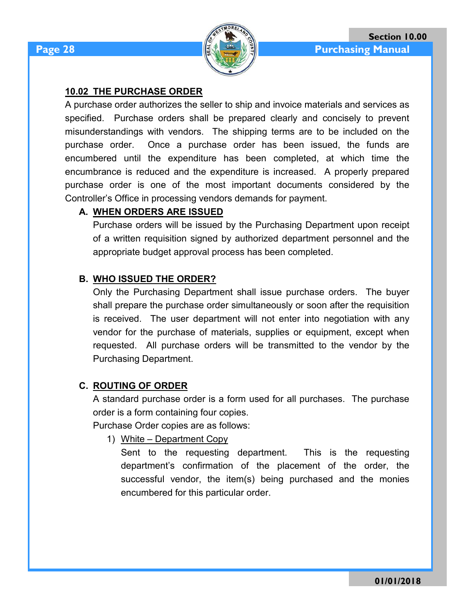

### **10.02 THE PURCHASE ORDER**

A purchase order authorizes the seller to ship and invoice materials and services as specified. Purchase orders shall be prepared clearly and concisely to prevent misunderstandings with vendors. The shipping terms are to be included on the purchase order. Once a purchase order has been issued, the funds are encumbered until the expenditure has been completed, at which time the encumbrance is reduced and the expenditure is increased. A properly prepared purchase order is one of the most important documents considered by the Controller's Office in processing vendors demands for payment.

#### **A. WHEN ORDERS ARE ISSUED**

Purchase orders will be issued by the Purchasing Department upon receipt of a written requisition signed by authorized department personnel and the appropriate budget approval process has been completed.

### **B. WHO ISSUED THE ORDER?**

Only the Purchasing Department shall issue purchase orders. The buyer shall prepare the purchase order simultaneously or soon after the requisition is received. The user department will not enter into negotiation with any vendor for the purchase of materials, supplies or equipment, except when requested. All purchase orders will be transmitted to the vendor by the Purchasing Department.

#### **C. ROUTING OF ORDER**

A standard purchase order is a form used for all purchases. The purchase order is a form containing four copies.

Purchase Order copies are as follows:

1) White – Department Copy

Sent to the requesting department. This is the requesting department's confirmation of the placement of the order, the successful vendor, the item(s) being purchased and the monies encumbered for this particular order.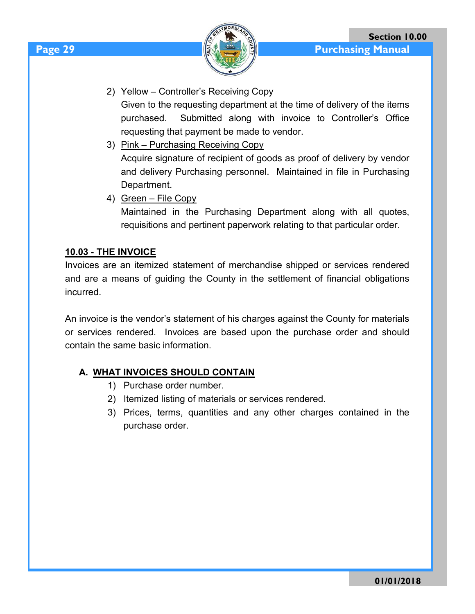

2) Yellow – Controller's Receiving Copy

Given to the requesting department at the time of delivery of the items purchased. Submitted along with invoice to Controller's Office requesting that payment be made to vendor.

3) Pink – Purchasing Receiving Copy Acquire signature of recipient of goods as proof of delivery by vendor and delivery Purchasing personnel. Maintained in file in Purchasing Department.

4) Green – File Copy Maintained in the Purchasing Department along with all quotes, requisitions and pertinent paperwork relating to that particular order.

# **10.03 - THE INVOICE**

Invoices are an itemized statement of merchandise shipped or services rendered and are a means of guiding the County in the settlement of financial obligations incurred.

An invoice is the vendor's statement of his charges against the County for materials or services rendered. Invoices are based upon the purchase order and should contain the same basic information.

# **A. WHAT INVOICES SHOULD CONTAIN**

- 1) Purchase order number.
- 2) Itemized listing of materials or services rendered.
- 3) Prices, terms, quantities and any other charges contained in the purchase order.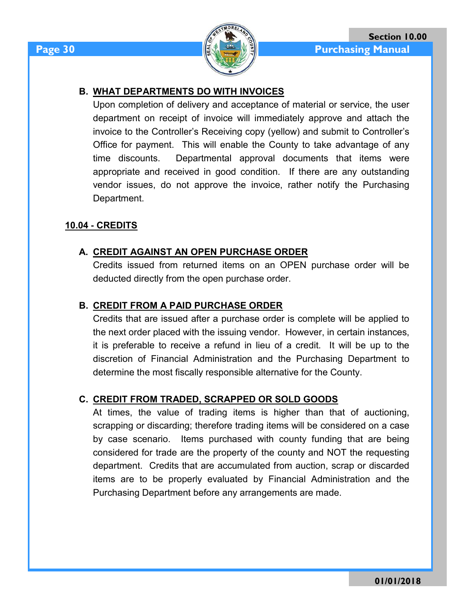

### **B. WHAT DEPARTMENTS DO WITH INVOICES**

Upon completion of delivery and acceptance of material or service, the user department on receipt of invoice will immediately approve and attach the invoice to the Controller's Receiving copy (yellow) and submit to Controller's Office for payment. This will enable the County to take advantage of any time discounts. Departmental approval documents that items were appropriate and received in good condition. If there are any outstanding vendor issues, do not approve the invoice, rather notify the Purchasing Department.

#### **10.04 - CREDITS**

#### **A. CREDIT AGAINST AN OPEN PURCHASE ORDER**

Credits issued from returned items on an OPEN purchase order will be deducted directly from the open purchase order.

#### **B. CREDIT FROM A PAID PURCHASE ORDER**

Credits that are issued after a purchase order is complete will be applied to the next order placed with the issuing vendor. However, in certain instances, it is preferable to receive a refund in lieu of a credit. It will be up to the discretion of Financial Administration and the Purchasing Department to determine the most fiscally responsible alternative for the County.

#### **C. CREDIT FROM TRADED, SCRAPPED OR SOLD GOODS**

At times, the value of trading items is higher than that of auctioning, scrapping or discarding; therefore trading items will be considered on a case by case scenario. Items purchased with county funding that are being considered for trade are the property of the county and NOT the requesting department. Credits that are accumulated from auction, scrap or discarded items are to be properly evaluated by Financial Administration and the Purchasing Department before any arrangements are made.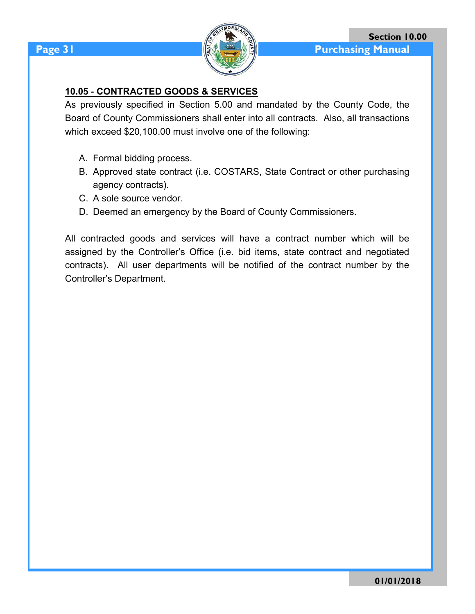

### **10.05 - CONTRACTED GOODS & SERVICES**

As previously specified in Section 5.00 and mandated by the County Code, the Board of County Commissioners shall enter into all contracts. Also, all transactions which exceed \$20,100.00 must involve one of the following:

- A. Formal bidding process.
- B. Approved state contract (i.e. COSTARS, State Contract or other purchasing agency contracts).
- C. A sole source vendor.
- D. Deemed an emergency by the Board of County Commissioners.

All contracted goods and services will have a contract number which will be assigned by the Controller's Office (i.e. bid items, state contract and negotiated contracts). All user departments will be notified of the contract number by the Controller's Department.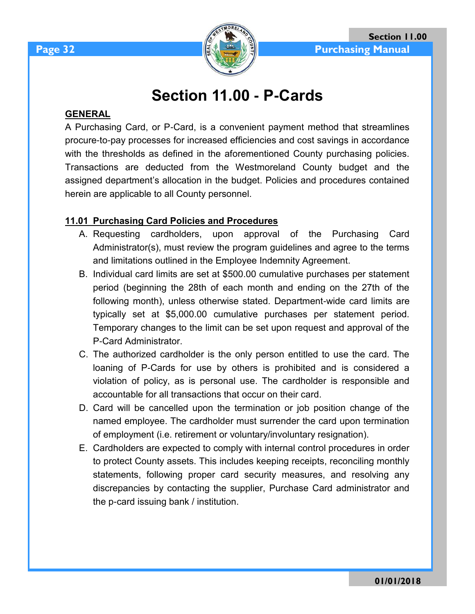

# **Section 11.00 - P-Cards**

### **GENERAL**

A Purchasing Card, or P-Card, is a convenient payment method that streamlines procure-to-pay processes for increased efficiencies and cost savings in accordance with the thresholds as defined in the aforementioned County purchasing policies. Transactions are deducted from the Westmoreland County budget and the assigned department's allocation in the budget. Policies and procedures contained herein are applicable to all County personnel.

### **11.01 Purchasing Card Policies and Procedures**

- A. Requesting cardholders, upon approval of the Purchasing Card Administrator(s), must review the program guidelines and agree to the terms and limitations outlined in the Employee Indemnity Agreement.
- B. Individual card limits are set at \$500.00 cumulative purchases per statement period (beginning the 28th of each month and ending on the 27th of the following month), unless otherwise stated. Department-wide card limits are typically set at \$5,000.00 cumulative purchases per statement period. Temporary changes to the limit can be set upon request and approval of the P-Card Administrator.
- C. The authorized cardholder is the only person entitled to use the card. The loaning of P-Cards for use by others is prohibited and is considered a violation of policy, as is personal use. The cardholder is responsible and accountable for all transactions that occur on their card.
- D. Card will be cancelled upon the termination or job position change of the named employee. The cardholder must surrender the card upon termination of employment (i.e. retirement or voluntary/involuntary resignation).
- E. Cardholders are expected to comply with internal control procedures in order to protect County assets. This includes keeping receipts, reconciling monthly statements, following proper card security measures, and resolving any discrepancies by contacting the supplier, Purchase Card administrator and the p-card issuing bank / institution.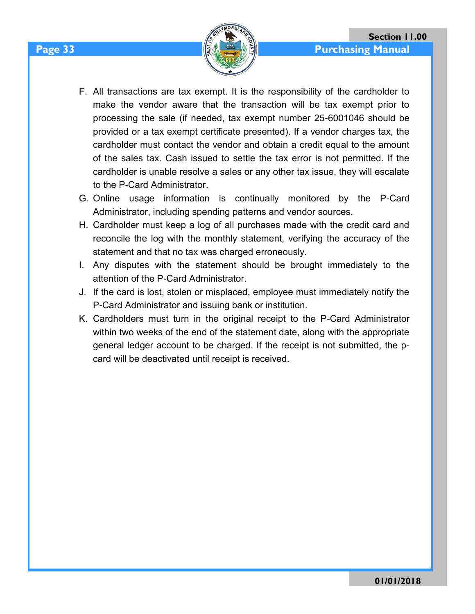- F. All transactions are tax exempt. It is the responsibility of the cardholder to make the vendor aware that the transaction will be tax exempt prior to processing the sale (if needed, tax exempt number 25-6001046 should be provided or a tax exempt certificate presented). If a vendor charges tax, the cardholder must contact the vendor and obtain a credit equal to the amount of the sales tax. Cash issued to settle the tax error is not permitted. If the cardholder is unable resolve a sales or any other tax issue, they will escalate to the P-Card Administrator.
- G. Online usage information is continually monitored by the P-Card Administrator, including spending patterns and vendor sources.
- H. Cardholder must keep a log of all purchases made with the credit card and reconcile the log with the monthly statement, verifying the accuracy of the statement and that no tax was charged erroneously.
- I. Any disputes with the statement should be brought immediately to the attention of the P-Card Administrator.
- J. If the card is lost, stolen or misplaced, employee must immediately notify the P-Card Administrator and issuing bank or institution.
- K. Cardholders must turn in the original receipt to the P-Card Administrator within two weeks of the end of the statement date, along with the appropriate general ledger account to be charged. If the receipt is not submitted, the pcard will be deactivated until receipt is received.